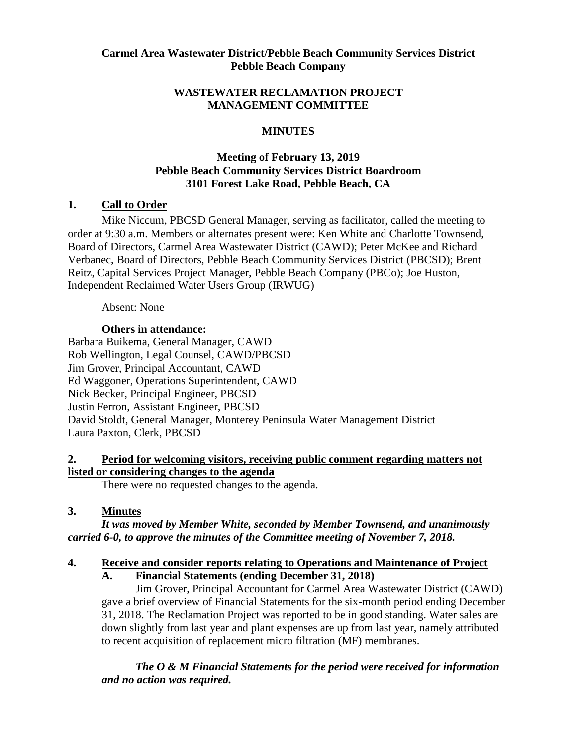#### **Carmel Area Wastewater District/Pebble Beach Community Services District Pebble Beach Company**

#### **WASTEWATER RECLAMATION PROJECT MANAGEMENT COMMITTEE**

# **MINUTES**

# **Meeting of February 13, 2019 Pebble Beach Community Services District Boardroom 3101 Forest Lake Road, Pebble Beach, CA**

# **1. Call to Order**

Mike Niccum, PBCSD General Manager, serving as facilitator, called the meeting to order at 9:30 a.m. Members or alternates present were: Ken White and Charlotte Townsend, Board of Directors, Carmel Area Wastewater District (CAWD); Peter McKee and Richard Verbanec, Board of Directors, Pebble Beach Community Services District (PBCSD); Brent Reitz, Capital Services Project Manager, Pebble Beach Company (PBCo); Joe Huston, Independent Reclaimed Water Users Group (IRWUG)

Absent: None

# **Others in attendance:**

Barbara Buikema, General Manager, CAWD Rob Wellington, Legal Counsel, CAWD/PBCSD Jim Grover, Principal Accountant, CAWD Ed Waggoner, Operations Superintendent, CAWD Nick Becker, Principal Engineer, PBCSD Justin Ferron, Assistant Engineer, PBCSD David Stoldt, General Manager, Monterey Peninsula Water Management District Laura Paxton, Clerk, PBCSD

#### **2. Period for welcoming visitors, receiving public comment regarding matters not listed or considering changes to the agenda**

There were no requested changes to the agenda.

# **3. Minutes**

*It was moved by Member White, seconded by Member Townsend, and unanimously carried 6-0, to approve the minutes of the Committee meeting of November 7, 2018.* 

# **4. Receive and consider reports relating to Operations and Maintenance of Project**

**A. Financial Statements (ending December 31, 2018)** 

Jim Grover, Principal Accountant for Carmel Area Wastewater District (CAWD) gave a brief overview of Financial Statements for the six-month period ending December 31, 2018. The Reclamation Project was reported to be in good standing. Water sales are down slightly from last year and plant expenses are up from last year, namely attributed to recent acquisition of replacement micro filtration (MF) membranes.

*The O & M Financial Statements for the period were received for information and no action was required.*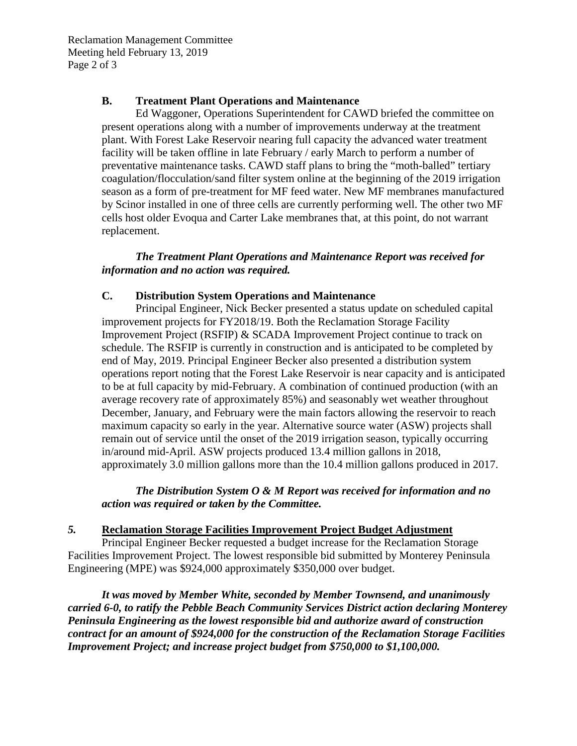Reclamation Management Committee Meeting held February 13, 2019 Page 2 of 3

#### **B. Treatment Plant Operations and Maintenance**

Ed Waggoner, Operations Superintendent for CAWD briefed the committee on present operations along with a number of improvements underway at the treatment plant. With Forest Lake Reservoir nearing full capacity the advanced water treatment facility will be taken offline in late February / early March to perform a number of preventative maintenance tasks. CAWD staff plans to bring the "moth-balled" tertiary coagulation/flocculation/sand filter system online at the beginning of the 2019 irrigation season as a form of pre-treatment for MF feed water. New MF membranes manufactured by Scinor installed in one of three cells are currently performing well. The other two MF cells host older Evoqua and Carter Lake membranes that, at this point, do not warrant replacement.

#### *The Treatment Plant Operations and Maintenance Report was received for information and no action was required.*

#### **C. Distribution System Operations and Maintenance**

Principal Engineer, Nick Becker presented a status update on scheduled capital improvement projects for FY2018/19. Both the Reclamation Storage Facility Improvement Project (RSFIP) & SCADA Improvement Project continue to track on schedule. The RSFIP is currently in construction and is anticipated to be completed by end of May, 2019. Principal Engineer Becker also presented a distribution system operations report noting that the Forest Lake Reservoir is near capacity and is anticipated to be at full capacity by mid-February. A combination of continued production (with an average recovery rate of approximately 85%) and seasonably wet weather throughout December, January, and February were the main factors allowing the reservoir to reach maximum capacity so early in the year. Alternative source water (ASW) projects shall remain out of service until the onset of the 2019 irrigation season, typically occurring in/around mid-April. ASW projects produced 13.4 million gallons in 2018, approximately 3.0 million gallons more than the 10.4 million gallons produced in 2017.

*The Distribution System O & M Report was received for information and no action was required or taken by the Committee.* 

#### *5.* **Reclamation Storage Facilities Improvement Project Budget Adjustment**

Principal Engineer Becker requested a budget increase for the Reclamation Storage Facilities Improvement Project. The lowest responsible bid submitted by Monterey Peninsula Engineering (MPE) was \$924,000 approximately \$350,000 over budget.

*It was moved by Member White, seconded by Member Townsend, and unanimously carried 6-0, to ratify the Pebble Beach Community Services District action declaring Monterey Peninsula Engineering as the lowest responsible bid and authorize award of construction contract for an amount of \$924,000 for the construction of the Reclamation Storage Facilities Improvement Project; and increase project budget from \$750,000 to \$1,100,000.*